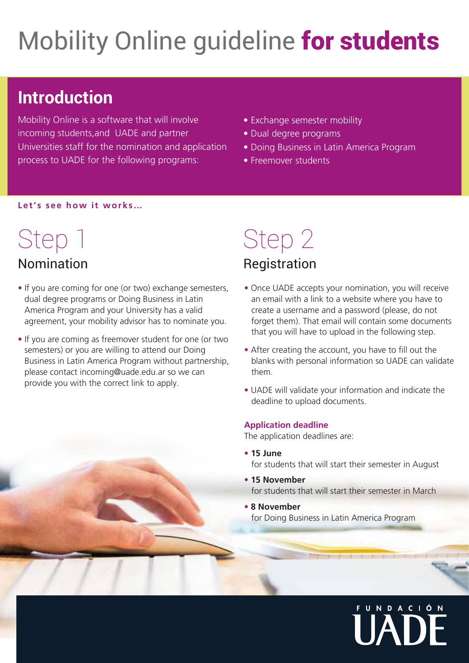## Mobility Online quideline for students

### **Introduction**

Mobility Online is a software that will involve incoming students,and UADE and partner Universities staff for the nomination and application process to UADE for the following programs:

- Exchange semester mobility
- Dual degree programs
- Doing Business in Latin America Program
- Freemover students

#### **Let's see how it works…**

## Step 1

#### Nomination

- If you are coming for one (or two) exchange semesters, dual degree programs or Doing Business in Latin America Program and your University has a valid agreement, your mobility advisor has to nominate you.
- If you are coming as freemover student for one (or two semesters) or you are willing to attend our Doing Business in Latin America Program without partnership, please contact incoming@uade.edu.ar so we can provide you with the correct link to apply.

### Step 2 Registration

- Once UADE accepts your nomination, you will receive an email with a link to a website where you have to create a username and a password (please, do not forget them). That email will contain some documents that you will have to upload in the following step.
- After creating the account, you have to fill out the blanks with personal information so UADE can validate them.
- UADE will validate your information and indicate the deadline to upload documents.

#### **Application deadline**

The application deadlines are:

- **15 June** for students that will start their semester in August
- **15 November** for students that will start their semester in March
- **8 November** for Doing Business in Latin America Program

# U N D A C I Ó N